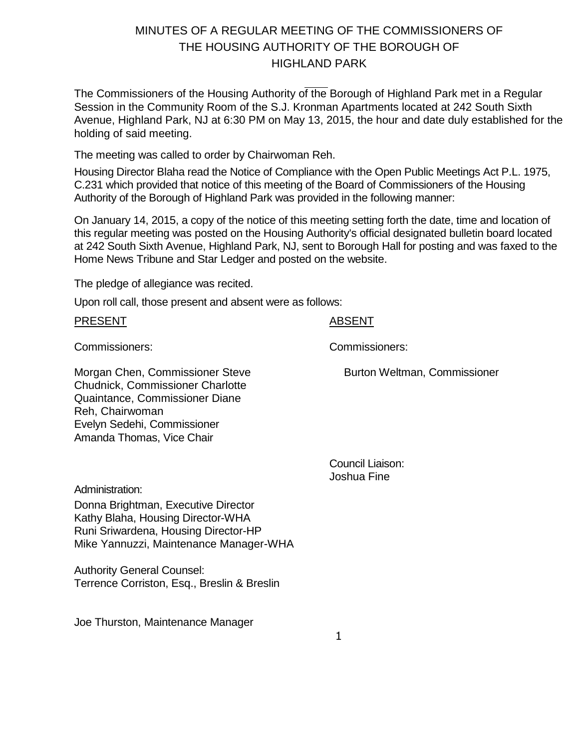# MINUTES OF A REGULAR MEETING OF THE COMMISSIONERS OF THE HOUSING AUTHORITY OF THE BOROUGH OF HIGHLAND PARK

The Commissioners of the Housing Authority of the Borough of Highland Park met in a Regular Session in the Community Room of the S.J. Kronman Apartments located at 242 South Sixth Avenue, Highland Park, NJ at 6:30 PM on May 13, 2015, the hour and date duly established for the holding of said meeting.

The meeting was called to order by Chairwoman Reh.

Housing Director Blaha read the Notice of Compliance with the Open Public Meetings Act P.L. 1975, C.231 which provided that notice of this meeting of the Board of Commissioners of the Housing Authority of the Borough of Highland Park was provided in the following manner:

On January 14, 2015, a copy of the notice of this meeting setting forth the date, time and location of this regular meeting was posted on the Housing Authority's official designated bulletin board located at 242 South Sixth Avenue, Highland Park, NJ, sent to Borough Hall for posting and was faxed to the Home News Tribune and Star Ledger and posted on the website.

The pledge of allegiance was recited.

Upon roll call, those present and absent were as follows:

PRESENT ABSENT

Commissioners: Commissioners:

Morgan Chen, Commissioner Steve Chudnick, Commissioner Charlotte Quaintance, Commissioner Diane Reh, Chairwoman Evelyn Sedehi, Commissioner Amanda Thomas, Vice Chair

> Council Liaison: Joshua Fine

Burton Weltman, Commissioner

Administration:

Donna Brightman, Executive Director Kathy Blaha, Housing Director-WHA Runi Sriwardena, Housing Director-HP Mike Yannuzzi, Maintenance Manager-WHA

Authority General Counsel: Terrence Corriston, Esq., Breslin & Breslin

Joe Thurston, Maintenance Manager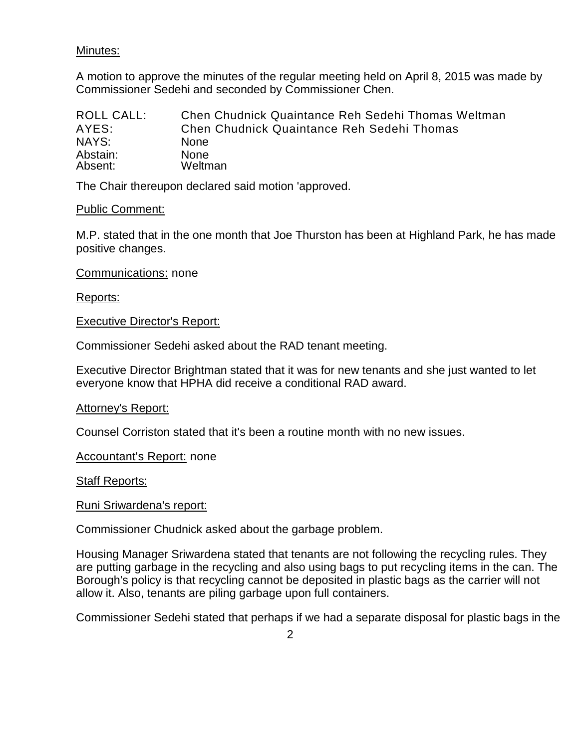### Minutes:

A motion to approve the minutes of the regular meeting held on April 8, 2015 was made by Commissioner Sedehi and seconded by Commissioner Chen.

| ROLL CALL: | Chen Chudnick Quaintance Reh Sedehi Thomas Weltman |
|------------|----------------------------------------------------|
| AYES:      | <b>Chen Chudnick Quaintance Reh Sedehi Thomas</b>  |
| NAYS:      | None.                                              |
| Abstain:   | <b>None</b>                                        |
| Absent:    | Weltman                                            |

The Chair thereupon declared said motion 'approved.

#### Public Comment:

M.P. stated that in the one month that Joe Thurston has been at Highland Park, he has made positive changes.

Communications: none

#### Reports:

Executive Director's Report:

Commissioner Sedehi asked about the RAD tenant meeting.

Executive Director Brightman stated that it was for new tenants and she just wanted to let everyone know that HPHA did receive a conditional RAD award.

#### Attorney's Report:

Counsel Corriston stated that it's been a routine month with no new issues.

Accountant's Report: none

Staff Reports:

#### Runi Sriwardena's report:

Commissioner Chudnick asked about the garbage problem.

Housing Manager Sriwardena stated that tenants are not following the recycling rules. They are putting garbage in the recycling and also using bags to put recycling items in the can. The Borough's policy is that recycling cannot be deposited in plastic bags as the carrier will not allow it. Also, tenants are piling garbage upon full containers.

Commissioner Sedehi stated that perhaps if we had a separate disposal for plastic bags in the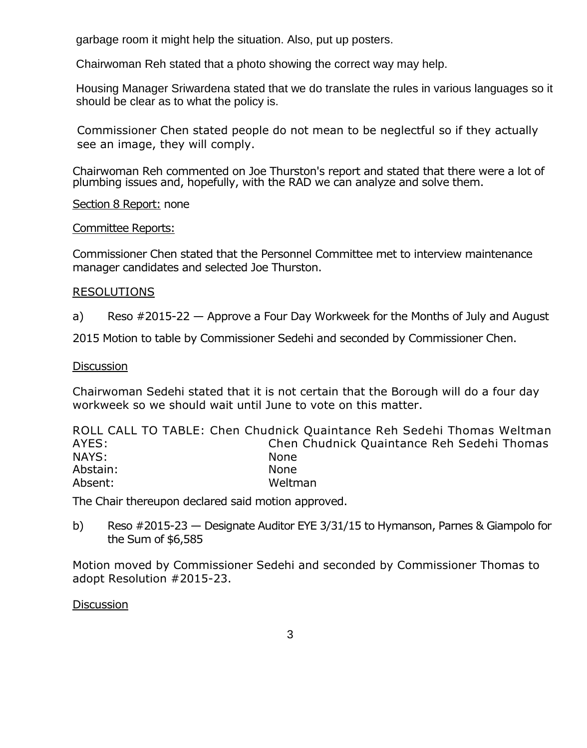garbage room it might help the situation. Also, put up posters.

Chairwoman Reh stated that a photo showing the correct way may help.

Housing Manager Sriwardena stated that we do translate the rules in various languages so it should be clear as to what the policy is.

Commissioner Chen stated people do not mean to be neglectful so if they actually see an image, they will comply.

Chairwoman Reh commented on Joe Thurston's report and stated that there were a lot of plumbing issues and, hopefully, with the RAD we can analyze and solve them.

Section 8 Report: none

Committee Reports:

Commissioner Chen stated that the Personnel Committee met to interview maintenance manager candidates and selected Joe Thurston.

#### RESOLUTIONS

a) Reso #2015-22 — Approve a Four Day Workweek for the Months of July and August

2015 Motion to table by Commissioner Sedehi and seconded by Commissioner Chen.

#### **Discussion**

Chairwoman Sedehi stated that it is not certain that the Borough will do a four day workweek so we should wait until June to vote on this matter.

|          | ROLL CALL TO TABLE: Chen Chudnick Quaintance Reh Sedehi Thomas Weltman |
|----------|------------------------------------------------------------------------|
| AYES:    | Chen Chudnick Quaintance Reh Sedehi Thomas                             |
| NAYS:    | <b>None</b>                                                            |
| Abstain: | <b>None</b>                                                            |
| Absent:  | Weltman                                                                |

The Chair thereupon declared said motion approved.

b) Reso #2015-23 — Designate Auditor EYE 3/31/15 to Hymanson, Parnes & Giampolo for the Sum of \$6,585

Motion moved by Commissioner Sedehi and seconded by Commissioner Thomas to adopt Resolution #2015-23.

**Discussion**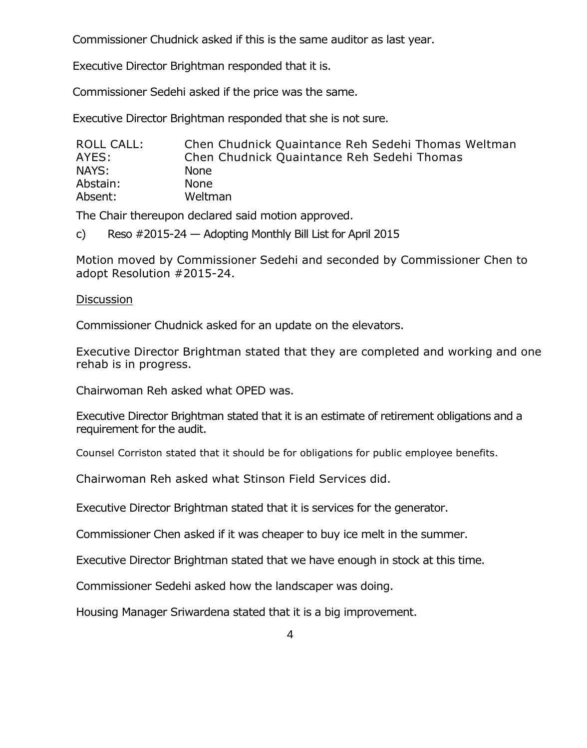Commissioner Chudnick asked if this is the same auditor as last year.

Executive Director Brightman responded that it is.

Commissioner Sedehi asked if the price was the same.

Executive Director Brightman responded that she is not sure.

| ROLL CALL: | Chen Chudnick Quaintance Reh Sedehi Thomas Weltman |
|------------|----------------------------------------------------|
| AYES:      | Chen Chudnick Quaintance Reh Sedehi Thomas         |
| NAYS:      | <b>None</b>                                        |
| Abstain:   | <b>None</b>                                        |
| Absent:    | Weltman                                            |

The Chair thereupon declared said motion approved.

c) Reso #2015-24 — Adopting Monthly Bill List for April 2015

Motion moved by Commissioner Sedehi and seconded by Commissioner Chen to adopt Resolution #2015-24.

### **Discussion**

Commissioner Chudnick asked for an update on the elevators.

Executive Director Brightman stated that they are completed and working and one rehab is in progress.

Chairwoman Reh asked what OPED was.

Executive Director Brightman stated that it is an estimate of retirement obligations and a requirement for the audit.

Counsel Corriston stated that it should be for obligations for public employee benefits.

Chairwoman Reh asked what Stinson Field Services did.

Executive Director Brightman stated that it is services for the generator.

Commissioner Chen asked if it was cheaper to buy ice melt in the summer.

Executive Director Brightman stated that we have enough in stock at this time.

Commissioner Sedehi asked how the landscaper was doing.

Housing Manager Sriwardena stated that it is a big improvement.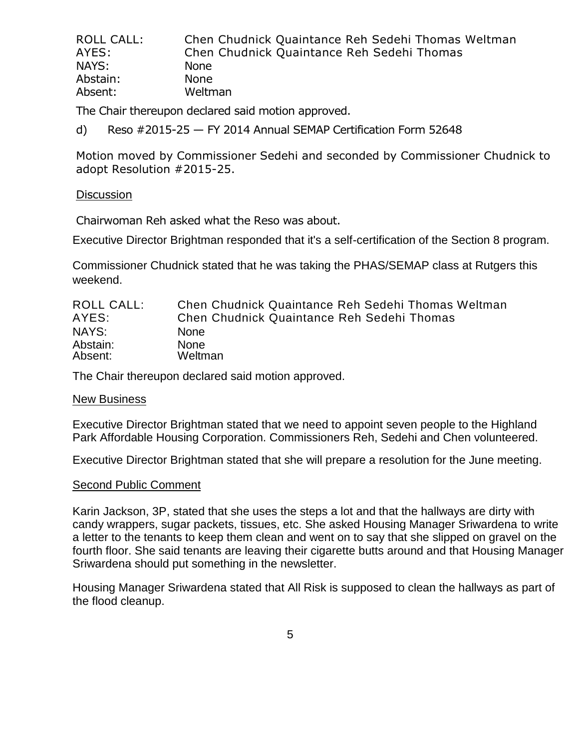| ROLL CALL: | Chen Chudnick Quaintance Reh Sedehi Thomas Weltman |
|------------|----------------------------------------------------|
| AYES:      | Chen Chudnick Quaintance Reh Sedehi Thomas         |
| NAYS:      | <b>None</b>                                        |
| Abstain:   | <b>None</b>                                        |
| Absent:    | Weltman                                            |

The Chair thereupon declared said motion approved.

d) Reso #2015-25 — FY 2014 Annual SEMAP Certification Form 52648

Motion moved by Commissioner Sedehi and seconded by Commissioner Chudnick to adopt Resolution #2015-25.

#### **Discussion**

Chairwoman Reh asked what the Reso was about.

Executive Director Brightman responded that it's a self-certification of the Section 8 program.

Commissioner Chudnick stated that he was taking the PHAS/SEMAP class at Rutgers this weekend.

| ROLL CALL: | Chen Chudnick Quaintance Reh Sedehi Thomas Weltman |
|------------|----------------------------------------------------|
| AYES:      | Chen Chudnick Quaintance Reh Sedehi Thomas         |
| NAYS:      | <b>None</b>                                        |
| Abstain:   | <b>None</b>                                        |
| Absent:    | Weltman                                            |

The Chair thereupon declared said motion approved.

#### New Business

Executive Director Brightman stated that we need to appoint seven people to the Highland Park Affordable Housing Corporation. Commissioners Reh, Sedehi and Chen volunteered.

Executive Director Brightman stated that she will prepare a resolution for the June meeting.

#### Second Public Comment

Karin Jackson, 3P, stated that she uses the steps a lot and that the hallways are dirty with candy wrappers, sugar packets, tissues, etc. She asked Housing Manager Sriwardena to write a letter to the tenants to keep them clean and went on to say that she slipped on gravel on the fourth floor. She said tenants are leaving their cigarette butts around and that Housing Manager Sriwardena should put something in the newsletter.

Housing Manager Sriwardena stated that All Risk is supposed to clean the hallways as part of the flood cleanup.